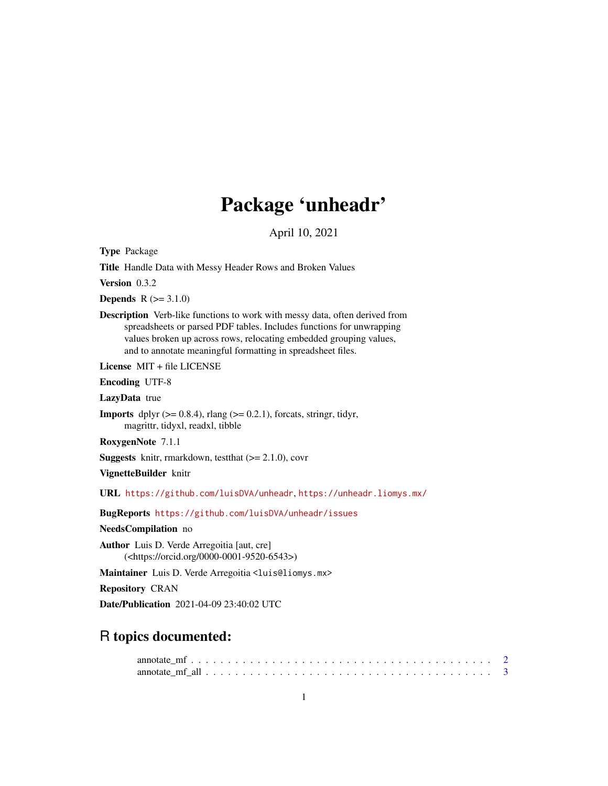# Package 'unheadr'

April 10, 2021

Type Package

Title Handle Data with Messy Header Rows and Broken Values

Version 0.3.2

**Depends**  $R (= 3.1.0)$ 

Description Verb-like functions to work with messy data, often derived from spreadsheets or parsed PDF tables. Includes functions for unwrapping values broken up across rows, relocating embedded grouping values, and to annotate meaningful formatting in spreadsheet files.

License MIT + file LICENSE

Encoding UTF-8

LazyData true

**Imports** dplyr  $(>= 0.8.4)$ , rlang  $(>= 0.2.1)$ , forcats, stringr, tidyr, magrittr, tidyxl, readxl, tibble

RoxygenNote 7.1.1

**Suggests** knitr, rmarkdown, test that  $(>= 2.1.0)$ , covr

VignetteBuilder knitr

URL <https://github.com/luisDVA/unheadr>, <https://unheadr.liomys.mx/>

BugReports <https://github.com/luisDVA/unheadr/issues>

NeedsCompilation no

Author Luis D. Verde Arregoitia [aut, cre] (<https://orcid.org/0000-0001-9520-6543>)

Maintainer Luis D. Verde Arregoitia <luis@liomys.mx>

Repository CRAN

Date/Publication 2021-04-09 23:40:02 UTC

# R topics documented: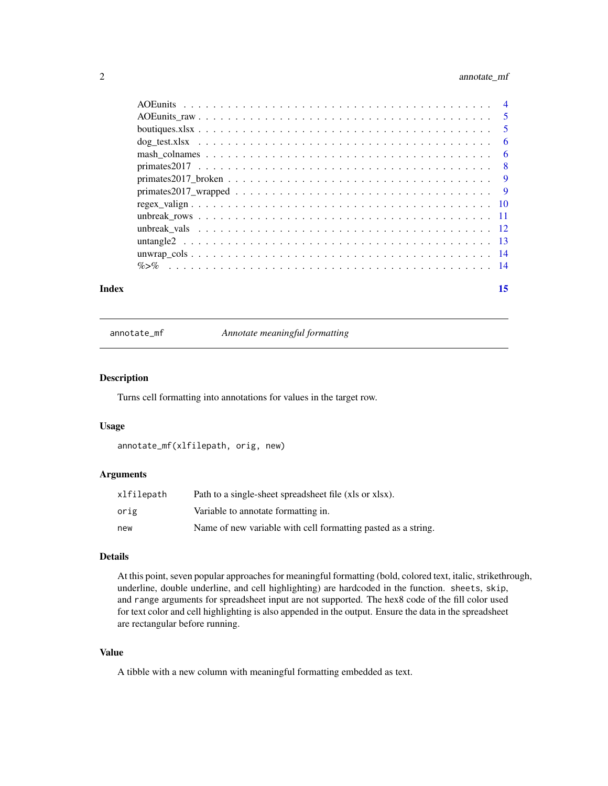# <span id="page-1-0"></span>2 annotate\_mf

| Index | 15 |
|-------|----|
|       |    |
|       |    |
|       |    |
|       |    |
|       |    |
|       |    |
|       |    |
|       |    |
|       |    |
|       |    |
|       |    |
|       |    |
|       |    |
|       |    |

annotate\_mf *Annotate meaningful formatting*

# Description

Turns cell formatting into annotations for values in the target row.

# Usage

```
annotate_mf(xlfilepath, orig, new)
```
# Arguments

| xlfilepath | Path to a single-sheet spreadsheet file (xls or xlsx).        |
|------------|---------------------------------------------------------------|
| orig       | Variable to annotate formatting in.                           |
| new        | Name of new variable with cell formatting pasted as a string. |

# Details

At this point, seven popular approaches for meaningful formatting (bold, colored text, italic, strikethrough, underline, double underline, and cell highlighting) are hardcoded in the function. sheets, skip, and range arguments for spreadsheet input are not supported. The hex8 code of the fill color used for text color and cell highlighting is also appended in the output. Ensure the data in the spreadsheet are rectangular before running.

#### Value

A tibble with a new column with meaningful formatting embedded as text.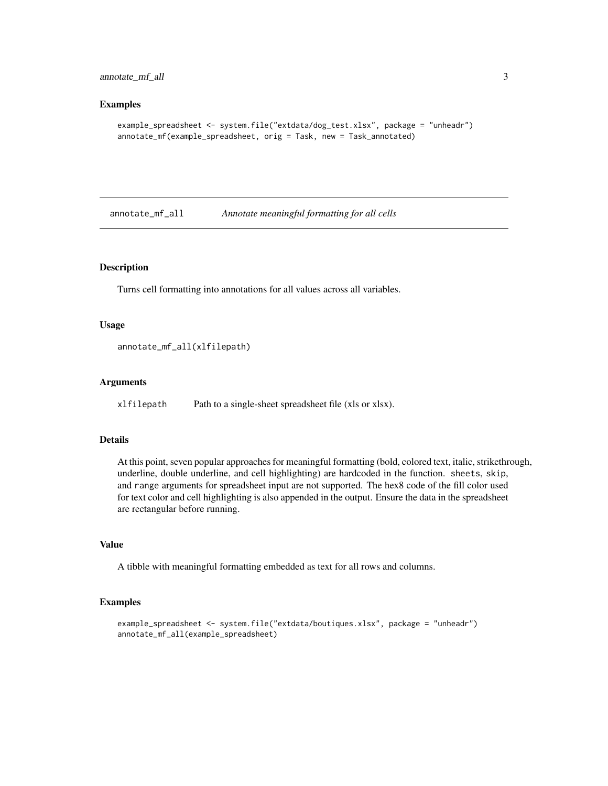#### <span id="page-2-0"></span>Examples

```
example_spreadsheet <- system.file("extdata/dog_test.xlsx", package = "unheadr")
annotate_mf(example_spreadsheet, orig = Task, new = Task_annotated)
```
annotate\_mf\_all *Annotate meaningful formatting for all cells*

# Description

Turns cell formatting into annotations for all values across all variables.

#### Usage

annotate\_mf\_all(xlfilepath)

#### Arguments

xlfilepath Path to a single-sheet spreadsheet file (xls or xlsx).

#### Details

At this point, seven popular approaches for meaningful formatting (bold, colored text, italic, strikethrough, underline, double underline, and cell highlighting) are hardcoded in the function. sheets, skip, and range arguments for spreadsheet input are not supported. The hex8 code of the fill color used for text color and cell highlighting is also appended in the output. Ensure the data in the spreadsheet are rectangular before running.

#### Value

A tibble with meaningful formatting embedded as text for all rows and columns.

#### Examples

```
example_spreadsheet <- system.file("extdata/boutiques.xlsx", package = "unheadr")
annotate_mf_all(example_spreadsheet)
```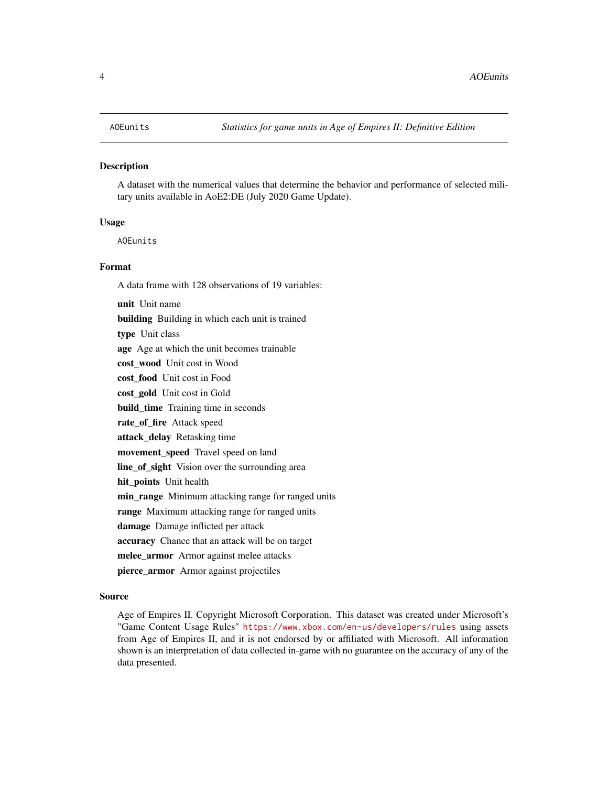#### <span id="page-3-1"></span><span id="page-3-0"></span>Description

A dataset with the numerical values that determine the behavior and performance of selected military units available in AoE2:DE (July 2020 Game Update).

#### Usage

AOEunits

#### Format

A data frame with 128 observations of 19 variables:

unit Unit name building Building in which each unit is trained type Unit class age Age at which the unit becomes trainable cost wood Unit cost in Wood cost food Unit cost in Food cost\_gold Unit cost in Gold build\_time Training time in seconds rate\_of\_fire Attack speed attack\_delay Retasking time movement\_speed Travel speed on land line\_of\_sight Vision over the surrounding area hit\_points Unit health min\_range Minimum attacking range for ranged units range Maximum attacking range for ranged units damage Damage inflicted per attack accuracy Chance that an attack will be on target melee\_armor Armor against melee attacks pierce\_armor Armor against projectiles

#### Source

Age of Empires II. Copyright Microsoft Corporation. This dataset was created under Microsoft's "Game Content Usage Rules" <https://www.xbox.com/en-us/developers/rules> using assets from Age of Empires II, and it is not endorsed by or affiliated with Microsoft. All information shown is an interpretation of data collected in-game with no guarantee on the accuracy of any of the data presented.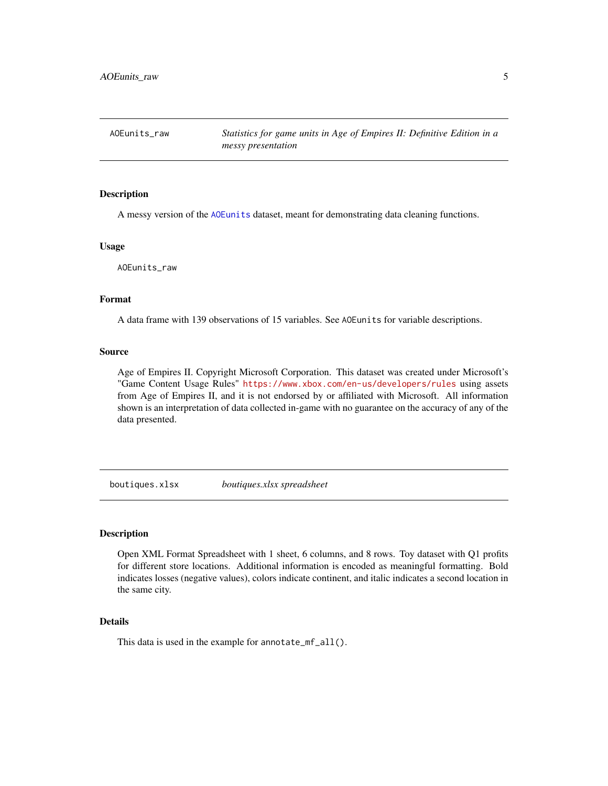<span id="page-4-0"></span>AOEunits\_raw *Statistics for game units in Age of Empires II: Definitive Edition in a messy presentation*

#### Description

A messy version of the [AOEunits](#page-3-1) dataset, meant for demonstrating data cleaning functions.

#### Usage

AOEunits\_raw

#### Format

A data frame with 139 observations of 15 variables. See AOEunits for variable descriptions.

#### Source

Age of Empires II. Copyright Microsoft Corporation. This dataset was created under Microsoft's "Game Content Usage Rules" <https://www.xbox.com/en-us/developers/rules> using assets from Age of Empires II, and it is not endorsed by or affiliated with Microsoft. All information shown is an interpretation of data collected in-game with no guarantee on the accuracy of any of the data presented.

boutiques.xlsx *boutiques.xlsx spreadsheet*

#### Description

Open XML Format Spreadsheet with 1 sheet, 6 columns, and 8 rows. Toy dataset with Q1 profits for different store locations. Additional information is encoded as meaningful formatting. Bold indicates losses (negative values), colors indicate continent, and italic indicates a second location in the same city.

# Details

This data is used in the example for annotate\_mf\_all().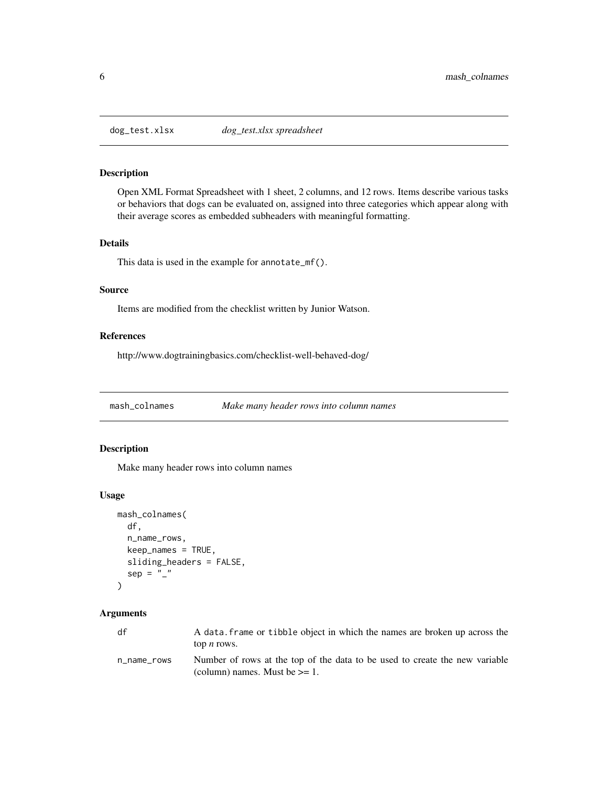<span id="page-5-0"></span>

#### Description

Open XML Format Spreadsheet with 1 sheet, 2 columns, and 12 rows. Items describe various tasks or behaviors that dogs can be evaluated on, assigned into three categories which appear along with their average scores as embedded subheaders with meaningful formatting.

# Details

This data is used in the example for annotate\_mf().

# Source

Items are modified from the checklist written by Junior Watson.

# References

http://www.dogtrainingbasics.com/checklist-well-behaved-dog/

mash\_colnames *Make many header rows into column names*

# Description

Make many header rows into column names

#### Usage

```
mash_colnames(
  df,
  n_name_rows,
  keep_names = TRUE,
  sliding_headers = FALSE,
  sep = ""
)
```
## Arguments

| df          | A data, frame or tibble object in which the names are broken up across the  |
|-------------|-----------------------------------------------------------------------------|
|             | top <i>n</i> rows.                                                          |
| n name rows | Number of rows at the top of the data to be used to create the new variable |
|             | (column) names. Must be $\geq 1$ .                                          |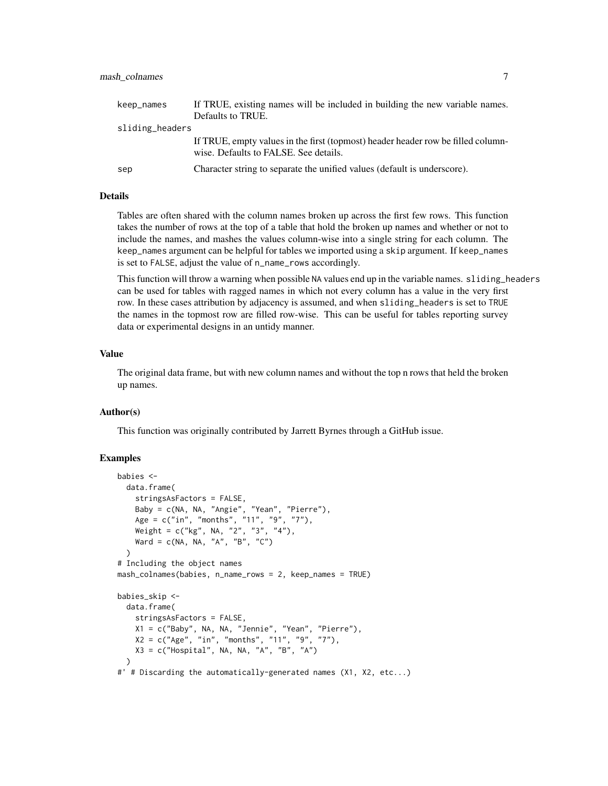# mash\_colnames 7

| keep_names      | If TRUE, existing names will be included in building the new variable names.                                              |  |  |  |  |  |  |
|-----------------|---------------------------------------------------------------------------------------------------------------------------|--|--|--|--|--|--|
|                 | Defaults to TRUE.                                                                                                         |  |  |  |  |  |  |
| sliding_headers |                                                                                                                           |  |  |  |  |  |  |
|                 | If TRUE, empty values in the first (topmost) header header row be filled column-<br>wise. Defaults to FALSE. See details. |  |  |  |  |  |  |
| sep             | Character string to separate the unified values (default is underscore).                                                  |  |  |  |  |  |  |

# Details

Tables are often shared with the column names broken up across the first few rows. This function takes the number of rows at the top of a table that hold the broken up names and whether or not to include the names, and mashes the values column-wise into a single string for each column. The keep\_names argument can be helpful for tables we imported using a skip argument. If keep\_names is set to FALSE, adjust the value of n\_name\_rows accordingly.

This function will throw a warning when possible NA values end up in the variable names. sliding\_headers can be used for tables with ragged names in which not every column has a value in the very first row. In these cases attribution by adjacency is assumed, and when sliding\_headers is set to TRUE the names in the topmost row are filled row-wise. This can be useful for tables reporting survey data or experimental designs in an untidy manner.

# Value

The original data frame, but with new column names and without the top n rows that held the broken up names.

#### Author(s)

This function was originally contributed by Jarrett Byrnes through a GitHub issue.

#### Examples

```
babies <-
 data.frame(
   stringsAsFactors = FALSE,
   Baby = c(NA, NA, "Angie", "Yean", "Pierre"),
   Age = c("in", "months", "11", "9", "7"),
   Weight = c("kg", NA, "2", "3", "4"),
   Ward = c(NA, NA, "A", "B", "C"))
# Including the object names
mash_colnames(babies, n_name_rows = 2, keep_names = TRUE)
babies_skip <-
 data.frame(
   stringsAsFactors = FALSE,
   X1 = c("Baby", NA, NA, "Jennie", "Yean", "Pierre"),
   X2 = c("Age", "in", "months", "11", "9", "7"),
   X3 = c("Hospital", NA, NA, "A", "B", "A")
 )
#' # Discarding the automatically-generated names (X1, X2, etc...)
```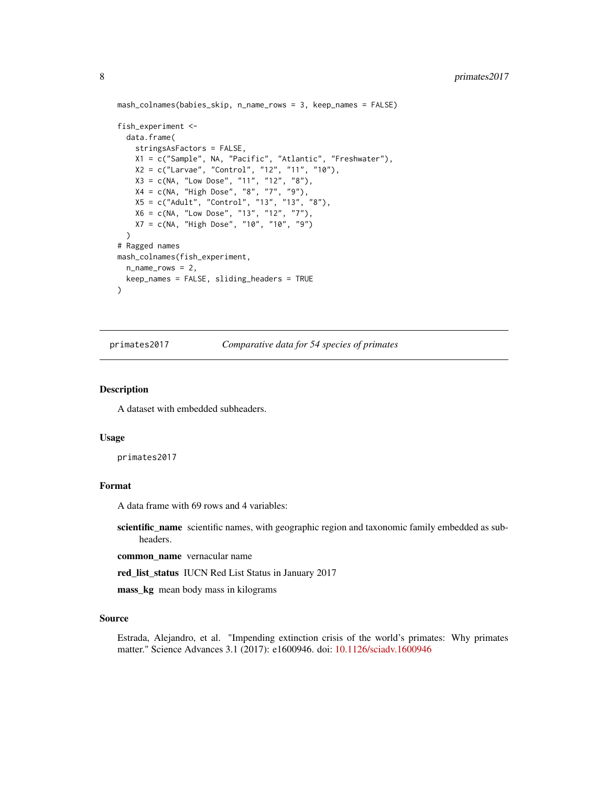```
mash_colnames(babies_skip, n_name_rows = 3, keep_names = FALSE)
fish_experiment <-
  data.frame(
   stringsAsFactors = FALSE,
   X1 = c("Sample", NA, "Pacific", "Atlantic", "Freshwater"),
   X2 = c("Larvae", "Control", "12", "11", "10"),X3 = c(NA, "Low Dose", "11", "12", "8"),
   X4 = c(NA, "High Dose", "8", "7", "9"),
   X5 = c("Adult", "Control", "13", "13", "8"),
    X6 = c(NA, "Low Dose", "13", "12", "7"),
    X7 = c(NA, "High Dose", "10", "10", "9")
  )
# Ragged names
mash_colnames(fish_experiment,
  n_name_rows = 2,
  keep_names = FALSE, sliding_headers = TRUE
)
```
primates2017 *Comparative data for 54 species of primates*

#### Description

A dataset with embedded subheaders.

#### Usage

primates2017

# Format

A data frame with 69 rows and 4 variables:

scientific\_name scientific names, with geographic region and taxonomic family embedded as subheaders.

common\_name vernacular name

red\_list\_status IUCN Red List Status in January 2017

mass\_kg mean body mass in kilograms

#### Source

Estrada, Alejandro, et al. "Impending extinction crisis of the world's primates: Why primates matter." Science Advances 3.1 (2017): e1600946. doi: [10.1126/sciadv.1600946](https://doi.org/10.1126/sciadv.1600946)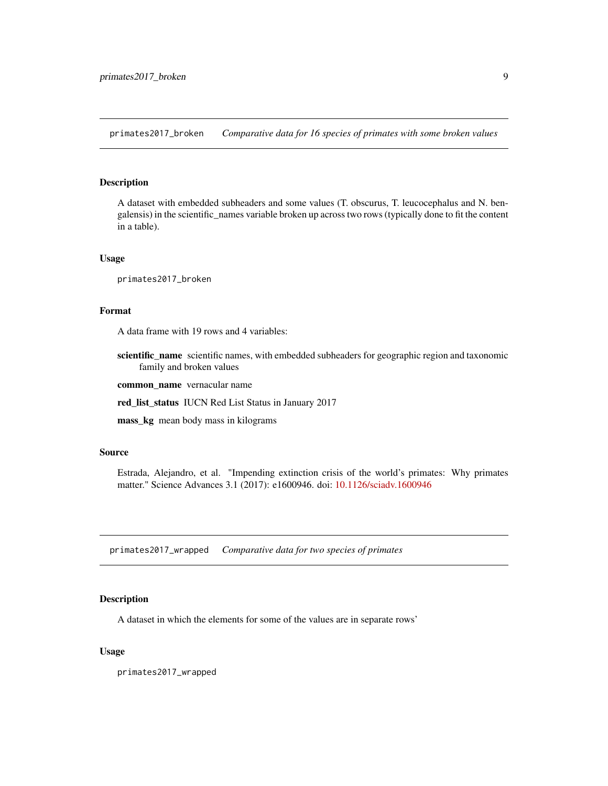<span id="page-8-0"></span>primates2017\_broken *Comparative data for 16 species of primates with some broken values*

# Description

A dataset with embedded subheaders and some values (T. obscurus, T. leucocephalus and N. bengalensis) in the scientific\_names variable broken up across two rows (typically done to fit the content in a table).

#### Usage

primates2017\_broken

# Format

A data frame with 19 rows and 4 variables:

scientific\_name scientific names, with embedded subheaders for geographic region and taxonomic family and broken values

common\_name vernacular name

red\_list\_status IUCN Red List Status in January 2017

mass\_kg mean body mass in kilograms

#### Source

Estrada, Alejandro, et al. "Impending extinction crisis of the world's primates: Why primates matter." Science Advances 3.1 (2017): e1600946. doi: [10.1126/sciadv.1600946](https://doi.org/10.1126/sciadv.1600946)

primates2017\_wrapped *Comparative data for two species of primates*

#### Description

A dataset in which the elements for some of the values are in separate rows'

#### Usage

primates2017\_wrapped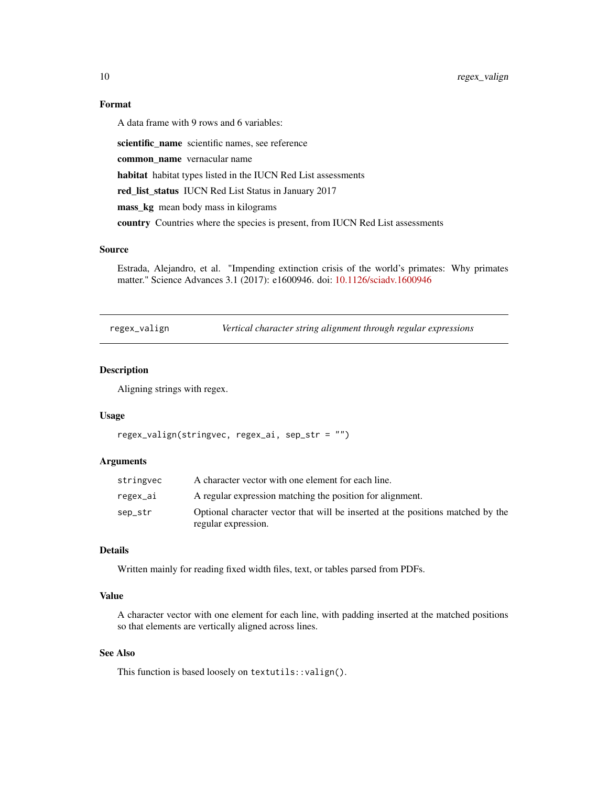# Format

A data frame with 9 rows and 6 variables:

scientific\_name scientific names, see reference common\_name vernacular name habitat habitat types listed in the IUCN Red List assessments red\_list\_status IUCN Red List Status in January 2017 mass\_kg mean body mass in kilograms country Countries where the species is present, from IUCN Red List assessments

#### Source

Estrada, Alejandro, et al. "Impending extinction crisis of the world's primates: Why primates matter." Science Advances 3.1 (2017): e1600946. doi: [10.1126/sciadv.1600946](https://doi.org/10.1126/sciadv.1600946)

regex\_valign *Vertical character string alignment through regular expressions*

# Description

Aligning strings with regex.

#### Usage

```
regex_valign(stringvec, regex_ai, sep_str = "")
```
#### Arguments

| stringvec | A character vector with one element for each line.                                                     |
|-----------|--------------------------------------------------------------------------------------------------------|
| regex_ai  | A regular expression matching the position for alignment.                                              |
| sep_str   | Optional character vector that will be inserted at the positions matched by the<br>regular expression. |

## Details

Written mainly for reading fixed width files, text, or tables parsed from PDFs.

# Value

A character vector with one element for each line, with padding inserted at the matched positions so that elements are vertically aligned across lines.

# See Also

This function is based loosely on textutils::valign().

<span id="page-9-0"></span>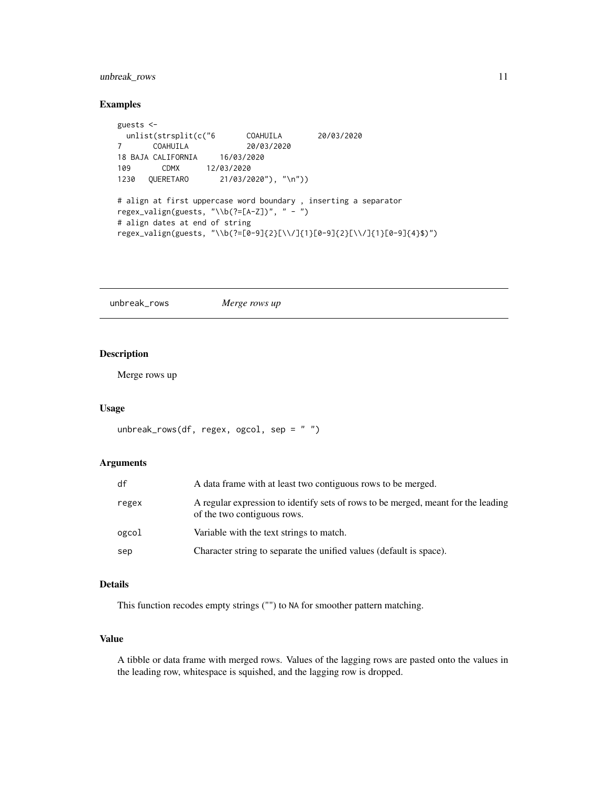# <span id="page-10-0"></span>unbreak\_rows 11

#### Examples

```
guests <-
 unlist(strsplit(c("6 COAHUILA 20/03/2020
7 COAHUILA 20/03/2020
18 BAJA CALIFORNIA 16/03/2020
109 CDMX 12/03/2020
1230 QUERETARO 21/03/2020"), "\n"))
# align at first uppercase word boundary , inserting a separator
regex_valign(guests, "\\b(?=[A-Z])", " - ")
# align dates at end of string
regex_valign(guests, "\\b(?=[0-9]{2}[\\/]{1}[0-9]{2}[\\/]{1}[0-9]{4}$)")
```
unbreak\_rows *Merge rows up*

# Description

Merge rows up

# Usage

```
unbreak_rows(df, regex, ogcol, sep = " ")
```
#### Arguments

| df    | A data frame with at least two contiguous rows to be merged.                                                     |
|-------|------------------------------------------------------------------------------------------------------------------|
| regex | A regular expression to identify sets of rows to be merged, meant for the leading<br>of the two contiguous rows. |
| ogcol | Variable with the text strings to match.                                                                         |
| sep   | Character string to separate the unified values (default is space).                                              |

# Details

This function recodes empty strings ("") to NA for smoother pattern matching.

# Value

A tibble or data frame with merged rows. Values of the lagging rows are pasted onto the values in the leading row, whitespace is squished, and the lagging row is dropped.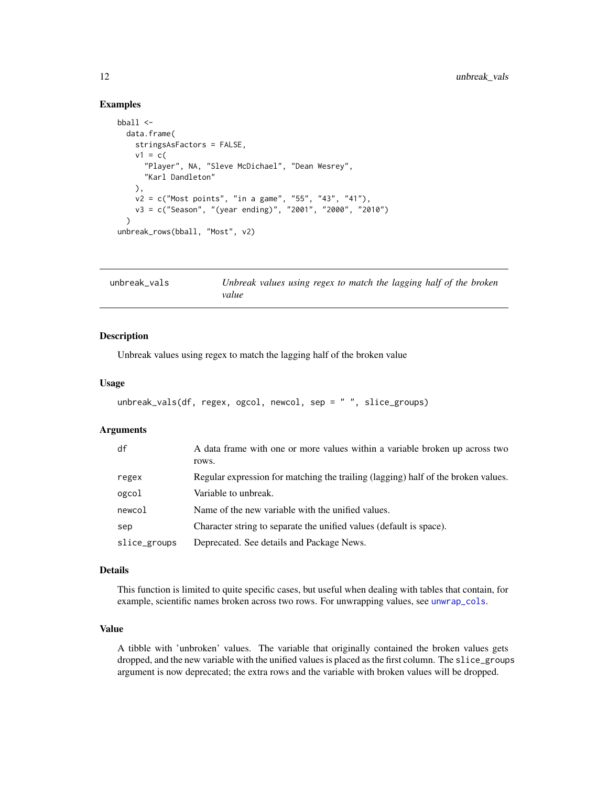# Examples

```
bball <-
  data.frame(
   stringsAsFactors = FALSE,
   v1 = c("Player", NA, "Sleve McDichael", "Dean Wesrey",
      "Karl Dandleton"
    ),
    v2 = c("Most points", "in a game", "55", "43", "41"),
   v3 = c("Season", "(year ending)", "2001", "2000", "2010")
  \lambdaunbreak_rows(bball, "Most", v2)
```

| unbreak vals | Unbreak values using regex to match the lagging half of the broken |  |  |  |
|--------------|--------------------------------------------------------------------|--|--|--|
|              | value                                                              |  |  |  |

#### Description

Unbreak values using regex to match the lagging half of the broken value

# Usage

```
unbreak_vals(df, regex, ogcol, newcol, sep = " ", slice_groups)
```
# Arguments

| df           | A data frame with one or more values within a variable broken up across two<br>rows. |
|--------------|--------------------------------------------------------------------------------------|
| regex        | Regular expression for matching the trailing (lagging) half of the broken values.    |
| ogcol        | Variable to unbreak.                                                                 |
| newcol       | Name of the new variable with the unified values.                                    |
| sep          | Character string to separate the unified values (default is space).                  |
| slice_groups | Deprecated. See details and Package News.                                            |

#### Details

This function is limited to quite specific cases, but useful when dealing with tables that contain, for example, scientific names broken across two rows. For unwrapping values, see [unwrap\\_cols](#page-13-1).

# Value

A tibble with 'unbroken' values. The variable that originally contained the broken values gets dropped, and the new variable with the unified values is placed as the first column. The slice\_groups argument is now deprecated; the extra rows and the variable with broken values will be dropped.

<span id="page-11-0"></span>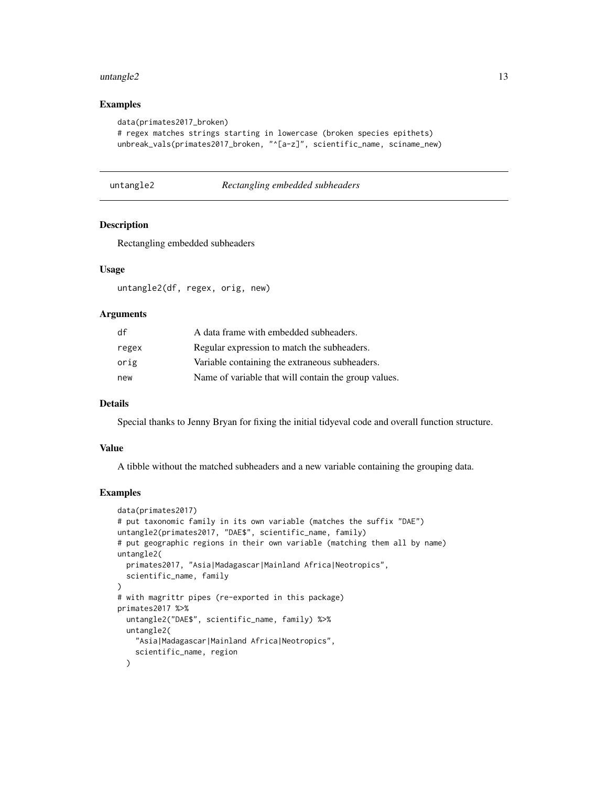#### <span id="page-12-0"></span> $untangle2$  13

### Examples

```
data(primates2017_broken)
# regex matches strings starting in lowercase (broken species epithets)
unbreak_vals(primates2017_broken, "^[a-z]", scientific_name, sciname_new)
```
untangle2 *Rectangling embedded subheaders*

# Description

Rectangling embedded subheaders

#### Usage

untangle2(df, regex, orig, new)

#### Arguments

| df    | A data frame with embedded subheaders.               |
|-------|------------------------------------------------------|
| regex | Regular expression to match the subheaders.          |
| orig  | Variable containing the extraneous subheaders.       |
| new   | Name of variable that will contain the group values. |

## Details

Special thanks to Jenny Bryan for fixing the initial tidyeval code and overall function structure.

# Value

A tibble without the matched subheaders and a new variable containing the grouping data.

#### Examples

```
data(primates2017)
# put taxonomic family in its own variable (matches the suffix "DAE")
untangle2(primates2017, "DAE$", scientific_name, family)
# put geographic regions in their own variable (matching them all by name)
untangle2(
  primates2017, "Asia|Madagascar|Mainland Africa|Neotropics",
  scientific_name, family
)
# with magrittr pipes (re-exported in this package)
primates2017 %>%
  untangle2("DAE$", scientific_name, family) %>%
 untangle2(
    "Asia|Madagascar|Mainland Africa|Neotropics",
    scientific_name, region
  \lambda
```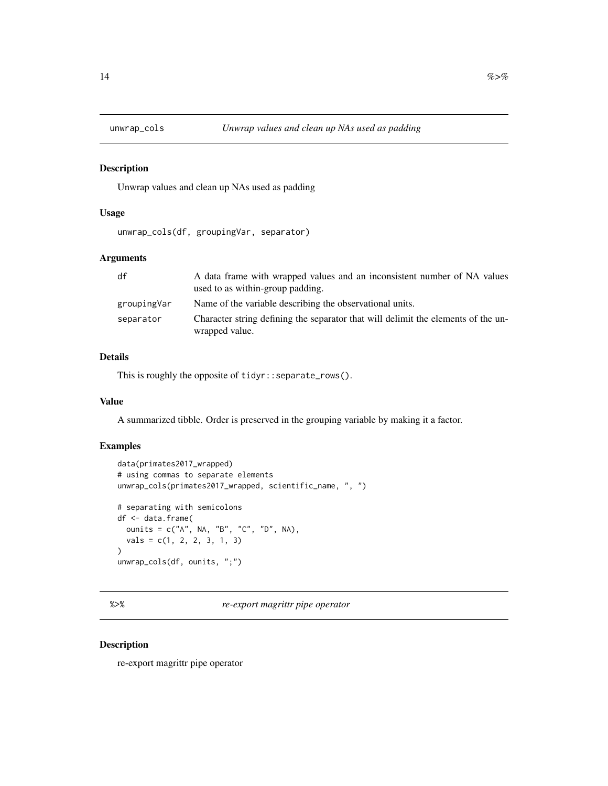<span id="page-13-1"></span><span id="page-13-0"></span>

# Description

Unwrap values and clean up NAs used as padding

# Usage

unwrap\_cols(df, groupingVar, separator)

# Arguments

| df          | A data frame with wrapped values and an inconsistent number of NA values<br>used to as within-group padding. |
|-------------|--------------------------------------------------------------------------------------------------------------|
| groupingVar | Name of the variable describing the observational units.                                                     |
| separator   | Character string defining the separator that will delimit the elements of the un-<br>wrapped value.          |

# Details

This is roughly the opposite of tidyr::separate\_rows().

# Value

A summarized tibble. Order is preserved in the grouping variable by making it a factor.

# Examples

```
data(primates2017_wrapped)
# using commas to separate elements
unwrap_cols(primates2017_wrapped, scientific_name, ", ")
# separating with semicolons
df <- data.frame(
 ounits = c("A", NA, "B", "C", "D", NA),
  vals = c(1, 2, 2, 3, 1, 3)
\mathcal{L}unwrap_cols(df, ounits, ";")
```
%>% *re-export magrittr pipe operator*

# Description

re-export magrittr pipe operator